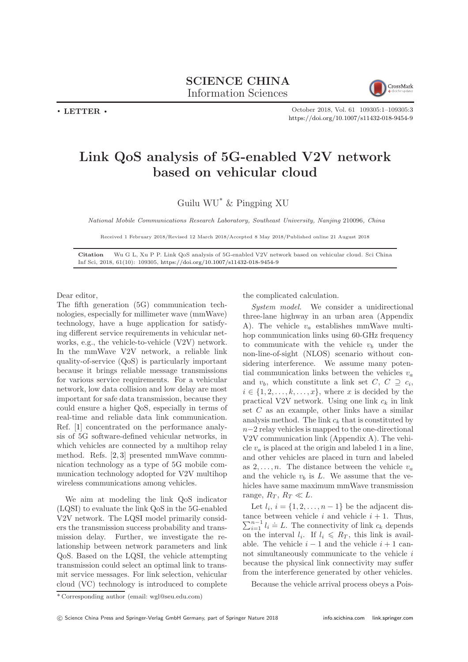

. LETTER .

October 2018, Vol. 61 109305:1–109305[:3](#page-2-0) <https://doi.org/10.1007/s11432-018-9454-9>

## Link QoS analysis of 5G-enabled V2V network based on vehicular cloud

Guilu WU\* & Pingping XU

National Mobile Communications Research Laboratory, Southeast University, Nanjing 210096, China

Received 1 February 2018/Revised 12 March 2018/Accepted 8 May 2018/Published online 21 August 2018

Citation Wu G L, Xu P P. Link QoS analysis of 5G-enabled V2V network based on vehicular cloud. Sci China Inf Sci, 2018, 61(10): 109305, <https://doi.org/10.1007/s11432-018-9454-9>

Dear editor,

The fifth generation (5G) communication technologies, especially for millimeter wave (mmWave) technology, have a huge application for satisfying different service requirements in vehicular networks, e.g., the vehicle-to-vehicle (V2V) network. In the mmWave V2V network, a reliable link quality-of-service (QoS) is particularly important because it brings reliable message transmissions for various service requirements. For a vehicular network, low data collision and low delay are most important for safe data transmission, because they could ensure a higher QoS, especially in terms of real-time and reliable data link communication. Ref. [\[1\]](#page-2-1) concentrated on the performance analysis of 5G software-defined vehicular networks, in which vehicles are connected by a multihop relay method. Refs. [\[2,](#page-2-2) [3\]](#page-2-3) presented mmWave communication technology as a type of 5G mobile communication technology adopted for V2V multihop wireless communications among vehicles.

We aim at modeling the link QoS indicator (LQSI) to evaluate the link QoS in the 5G-enabled V2V network. The LQSI model primarily considers the transmission success probability and transmission delay. Further, we investigate the relationship between network parameters and link QoS. Based on the LQSI, the vehicle attempting transmission could select an optimal link to transmit service messages. For link selection, vehicular cloud (VC) technology is introduced to complete

the complicated calculation.

System model. We consider a unidirectional three-lane highway in an urban area (Appendix A). The vehicle  $v_a$  establishes mmWave multihop communication links using 60-GHz frequency to communicate with the vehicle  $v_b$  under the non-line-of-sight (NLOS) scenario without considering interference. We assume many potential communication links between the vehicles  $v_a$ and  $v_b$ , which constitute a link set  $C, C \supseteq c_i$ ,  $i \in \{1, 2, \ldots, k, \ldots, x\}$ , where x is decided by the practical V2V network. Using one link  $c_k$  in link set C as an example, other links have a similar analysis method. The link  $c_k$  that is constituted by  $n-2$  relay vehicles is mapped to the one-directional V2V communication link (Appendix A). The vehicle  $v_a$  is placed at the origin and labeled 1 in a line. and other vehicles are placed in turn and labeled as  $2, \ldots, n$ . The distance between the vehicle  $v_a$ and the vehicle  $v_b$  is L. We assume that the vehicles have same maximum mmWave transmission range,  $R_T$ ,  $R_T \ll L$ .

Let  $l_i$ ,  $i = \{1, 2, \ldots, n-1\}$  be the adjacent distance between vehicle  $i$  and vehicle  $i + 1$ . Thus,  $\sum_{i=1}^{n-1} l_i = L$ . The connectivity of link  $c_k$  depends on the interval  $l_i$ . If  $l_i \leq R_T$ , this link is available. The vehicle  $i - 1$  and the vehicle  $i + 1$  cannot simultaneously communicate to the vehicle  $i$ because the physical link connectivity may suffer from the interference generated by other vehicles.

Because the vehicle arrival process obeys a Pois-

<sup>\*</sup> Corresponding author (email: wgl@seu.edu.com)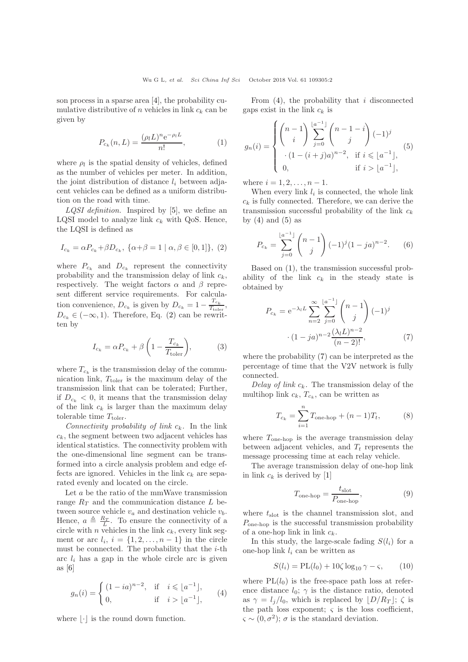son process in a sparse area [\[4\]](#page-2-4), the probability cumulative distributive of n vehicles in link  $c_k$  can be given by

<span id="page-1-3"></span>
$$
P_{c_k}(n, L) = \frac{(\rho_l L)^n e^{-\rho_l L}}{n!},
$$
 (1)

where  $\rho_l$  is the spatial density of vehicles, defined as the number of vehicles per meter. In addition, the joint distribution of distance  $l_i$  between adjacent vehicles can be defined as a uniform distribution on the road with time.

 $LQSI$  definition. Inspired by [\[5\]](#page-2-5), we define an LQSI model to analyze link  $c_k$  with QoS. Hence, the LQSI is defined as

<span id="page-1-0"></span>
$$
I_{c_k} = \alpha P_{c_k} + \beta D_{c_k}, \ \{\alpha + \beta = 1 \mid \alpha, \beta \in [0, 1]\}, \ (2)
$$

where  $P_{c_k}$  and  $D_{c_k}$  represent the connectivity probability and the transmission delay of link  $c_k$ , respectively. The weight factors  $\alpha$  and  $\beta$  represent different service requirements. For calculation convenience,  $D_{c_k}$  is given by  $D_{c_k} = 1 - \frac{T_{c_k}}{T_{\text{tobe}}}$  $\frac{1}{T_{\text{toler}}}$ ,  $D_{c_k} \in (-\infty, 1)$ . Therefore, Eq. [\(2\)](#page-1-0) can be rewritten by

<span id="page-1-9"></span>
$$
I_{c_k} = \alpha P_{c_k} + \beta \left( 1 - \frac{T_{c_k}}{T_{\text{toler}}} \right),\tag{3}
$$

where  $T_{c_k}$  is the transmission delay of the communication link,  $T_{\text{toler}}$  is the maximum delay of the transmission link that can be tolerated; Further, if  $D_{c_k} < 0$ , it means that the transmission delay of the link  $c_k$  is larger than the maximum delay tolerable time  $T_{\text{toler}}$ .

Connectivity probability of link  $c_k$ . In the link  $c_k$ , the segment between two adjacent vehicles has identical statistics. The connectivity problem with the one-dimensional line segment can be transformed into a circle analysis problem and edge effects are ignored. Vehicles in the link  $c_k$  are separated evenly and located on the circle.

Let a be the ratio of the mmWave transmission range  $R_T$  and the communication distance  $L$  between source vehicle  $v_a$  and destination vehicle  $v_b$ . Hence,  $a \triangleq \frac{R_T}{L}$ . To ensure the connectivity of a circle with n vehicles in the link  $c_k$ , every link segment or arc  $l_i$ ,  $i = \{1, 2, \ldots, n-1\}$  in the circle must be connected. The probability that the  $i$ -th arc  $l_i$  has a gap in the whole circle arc is given as  $[6]$ 

<span id="page-1-1"></span>
$$
g_n(i) = \begin{cases} (1 - ia)^{n-2}, & \text{if } i \leqslant \lfloor a^{-1} \rfloor, \\ 0, & \text{if } i > \lfloor a^{-1} \rfloor, \end{cases} (4)
$$

where  $|\cdot|$  is the round down function.

From  $(4)$ , the probability that *i* disconnected gaps exist in the link  $c_k$  is

<span id="page-1-2"></span>
$$
g_n(i) = \begin{cases} \binom{n-1}{i} \sum_{j=0}^{\lfloor a^{-1} \rfloor} \binom{n-1-i}{j} (-1)^j \\ \cdot (1-(i+j)a)^{n-2}, & \text{if } i \leqslant \lfloor a^{-1} \rfloor, \\ 0, & \text{if } i > \lfloor a^{-1} \rfloor, \end{cases}
$$

where  $i = 1, 2, ..., n - 1$ .

When every link  $l_i$  is connected, the whole link  $c_k$  is fully connected. Therefore, we can derive the transmission successful probability of the link  $c_k$ by  $(4)$  and  $(5)$  as

<span id="page-1-8"></span>
$$
P_{c_k} = \sum_{j=0}^{\lfloor a^{-1} \rfloor} \binom{n-1}{j} (-1)^j (1-ja)^{n-2}.
$$
 (6)

Based on [\(1\)](#page-1-3), the transmission successful probability of the link  $c_k$  in the steady state is obtained by

<span id="page-1-4"></span>
$$
P_{c_k} = e^{-\lambda_l L} \sum_{n=2}^{\infty} \sum_{j=0}^{\lfloor a^{-1} \rfloor} \binom{n-1}{j} (-1)^j
$$

$$
\cdot (1 - ja)^{n-2} \frac{(\lambda_l L)^{n-2}}{(n-2)!},
$$
(7)

where the probability [\(7\)](#page-1-4) can be interpreted as the percentage of time that the V2V network is fully connected.

Delay of link  $c_k$ . The transmission delay of the multihop link  $c_k$ ,  $T_{c_k}$ , can be written as

<span id="page-1-7"></span>
$$
T_{c_k} = \sum_{i=1}^{n} T_{\text{one-hop}} + (n-1)T_t, \tag{8}
$$

where  $T_{one-hop}$  is the average transmission delay between adjacent vehicles, and  $T_t$  represents the message processing time at each relay vehicle.

The average transmission delay of one-hop link in link  $c_k$  is derived by [\[1\]](#page-2-1)

<span id="page-1-6"></span>
$$
T_{\text{one-hop}} = \frac{t_{\text{slot}}}{P_{\text{one-hop}}},\tag{9}
$$

where  $t_{slot}$  is the channel transmission slot, and  $P_{one-hop}$  is the successful transmission probability of a one-hop link in link  $c_k$ .

In this study, the large-scale fading  $S(l_i)$  for a one-hop link  $l_i$  can be written as

<span id="page-1-5"></span>
$$
S(l_i) = PL(l_0) + 10\zeta \log_{10} \gamma - \zeta, \qquad (10)
$$

where  $PL(l_0)$  is the free-space path loss at reference distance  $l_0$ ;  $\gamma$  is the distance ratio, denoted as  $\gamma = l_i/l_0$ , which is replaced by  $|D/R_T|$ ;  $\zeta$  is the path loss exponent;  $\varsigma$  is the loss coefficient,  $\varsigma \sim (0, \sigma^2)$ ;  $\sigma$  is the standard deviation.